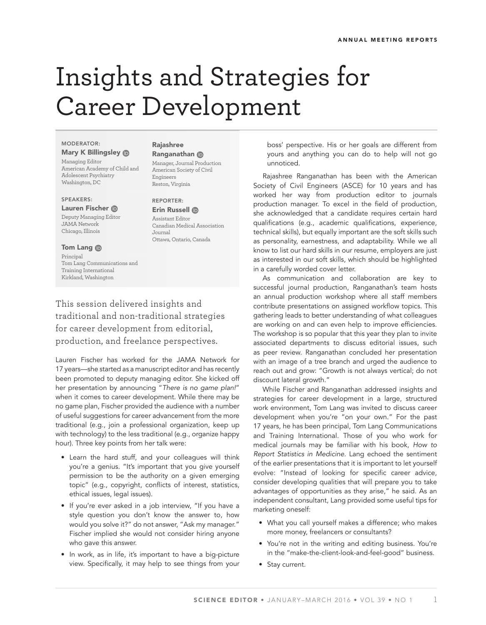# Insights and Strategies for Career Development

#### MODERATOR:

Mary K Billingsley **ID** Managing Editor American Academy of Child and Adolescent Psychiatry Washington, DC

#### SPEAKERS:

Lauren Fischer Deputy Managing Editor JAMA Network Chicago, Illinois

# Tom Lang **ID**

Principal Tom Lang Communications and Training International Kirkland, Washington

# Rajashree

Ranganathan Manager, Journal Production American Society of Civil Engineers Reston, Virginia

### REPORTER:

Erin Russell ® Assistant Editor Canadian Medical Association Journal Ottawa, Ontario, Canada

This session delivered insights and traditional and non-traditional strategies for career development from editorial, production, and freelance perspectives.

Lauren Fischer has worked for the JAMA Network for 17 years—she started as a manuscript editor and has recently been promoted to deputy managing editor. She kicked off her presentation by announcing "*There is no game plan!*" when it comes to career development. While there may be no game plan, Fischer provided the audience with a number of useful suggestions for career advancement from the more traditional (e.g., join a professional organization, keep up with technology) to the less traditional (e.g., organize happy hour). Three key points from her talk were:

- Learn the hard stuff, and your colleagues will think you're a genius. "It's important that you give yourself permission to be the authority on a given emerging topic" (e.g., copyright, conflicts of interest, statistics, ethical issues, legal issues).
- If you're ever asked in a job interview, "If you have a style question you don't know the answer to, how would you solve it?" do not answer, "Ask my manager." Fischer implied she would not consider hiring anyone who gave this answer.
- In work, as in life, it's important to have a big-picture view. Specifically, it may help to see things from your

boss' perspective. His or her goals are different from yours and anything you can do to help will not go unnoticed.

Rajashree Ranganathan has been with the American Society of Civil Engineers (ASCE) for 10 years and has worked her way from production editor to journals production manager. To excel in the field of production, she acknowledged that a candidate requires certain hard qualifications (e.g., academic qualifications, experience, technical skills), but equally important are the soft skills such as personality, earnestness, and adaptability. While we all know to list our hard skills in our resume, employers are just as interested in our soft skills, which should be highlighted in a carefully worded cover letter.

As communication and collaboration are key to successful journal production, Ranganathan's team hosts an annual production workshop where all staff members contribute presentations on assigned workflow topics. This gathering leads to better understanding of what colleagues are working on and can even help to improve efficiencies. The workshop is so popular that this year they plan to invite associated departments to discuss editorial issues, such as peer review. Ranganathan concluded her presentation with an image of a tree branch and urged the audience to reach out and grow: "Growth is not always vertical; do not discount lateral growth."

While Fischer and Ranganathan addressed insights and strategies for career development in a large, structured work environment, Tom Lang was invited to discuss career development when you're "on your own." For the past 17 years, he has been principal, Tom Lang Communications and Training International. Those of you who work for medical journals may be familiar with his book, *How to Report Statistics in Medicine*. Lang echoed the sentiment of the earlier presentations that it is important to let yourself evolve: "Instead of looking for specific career advice, consider developing qualities that will prepare you to take advantages of opportunities as they arise," he said. As an independent consultant, Lang provided some useful tips for marketing oneself:

- What you call yourself makes a difference; who makes more money, freelancers or consultants?
- You're not in the writing and editing business. You're in the "make-the-client-look-and-feel-good" business.
- Stay current.